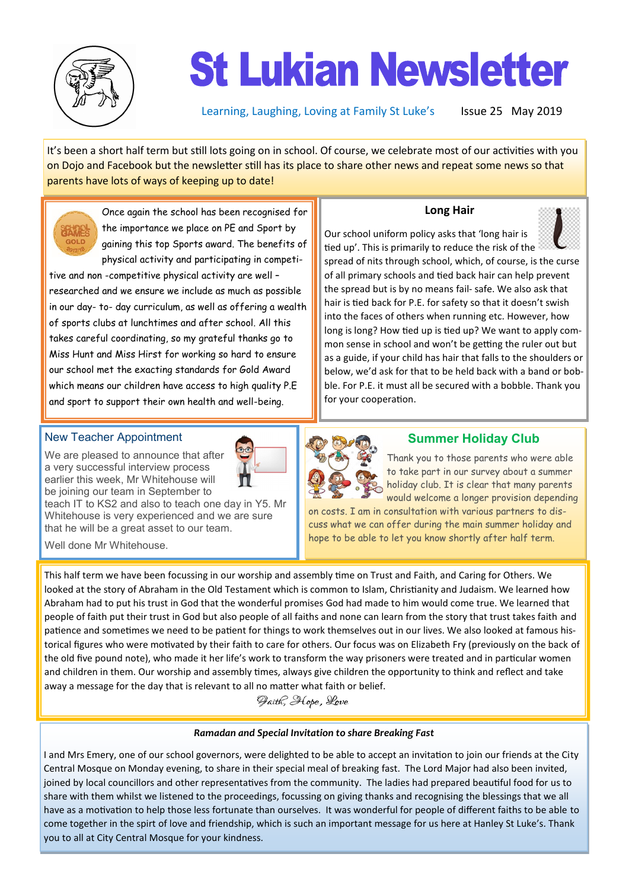

# **St Lukian Newsletter**

Learning, Laughing, Loving at Family St Luke's Issue 25 May 2019

It's been a short half term but still lots going on in school. Of course, we celebrate most of our activities with you on Dojo and Facebook but the newsletter still has its place to share other news and repeat some news so that parents have lots of ways of keeping up to date!

Once again the school has been recognised for the importance we place on PE and Sport by gaining this top Sports award. The benefits of physical activity and participating in competi-

tive and non -competitive physical activity are well – researched and we ensure we include as much as possible in our day- to- day curriculum, as well as offering a wealth of sports clubs at lunchtimes and after school. All this takes careful coordinating, so my grateful thanks go to Miss Hunt and Miss Hirst for working so hard to ensure our school met the exacting standards for Gold Award which means our children have access to high quality P.E and sport to support their own health and well-being.

#### **Long Hair**



Our school uniform policy asks that 'long hair is tied up'. This is primarily to reduce the risk of the

spread of nits through school, which, of course, is the curse of all primary schools and tied back hair can help prevent the spread but is by no means fail- safe. We also ask that hair is tied back for P.E. for safety so that it doesn't swish into the faces of others when running etc. However, how long is long? How tied up is tied up? We want to apply common sense in school and won't be getting the ruler out but as a guide, if your child has hair that falls to the shoulders or below, we'd ask for that to be held back with a band or bobble. For P.E. it must all be secured with a bobble. Thank you for your cooperation.

### New Teacher Appointment

We are pleased to announce that after a very successful interview process earlier this week, Mr Whitehouse will be joining our team in September to

teach IT to KS2 and also to teach one day in Y5. Mr Whitehouse is very experienced and we are sure that he will be a great asset to our team.



### **Summer Holiday Club**

Thank you to those parents who were able to take part in our survey about a summer holiday club. It is clear that many parents would welcome a longer provision depending

on costs. I am in consultation with various partners to discuss what we can offer during the main summer holiday and hope to be able to let you know shortly after half term.

This half term we have been focussing in our worship and assembly time on Trust and Faith, and Caring for Others. We looked at the story of Abraham in the Old Testament which is common to Islam, Christianity and Judaism. We learned how Abraham had to put his trust in God that the wonderful promises God had made to him would come true. We learned that people of faith put their trust in God but also people of all faiths and none can learn from the story that trust takes faith and patience and sometimes we need to be patient for things to work themselves out in our lives. We also looked at famous historical figures who were motivated by their faith to care for others. Our focus was on Elizabeth Fry (previously on the back of the old five pound note), who made it her life's work to transform the way prisoners were treated and in particular women and children in them. Our worship and assembly times, always give children the opportunity to think and reflect and take away a message for the day that is relevant to all no matter what faith or belief.

Paith, Hope, Love

#### *Ramadan and Special Invitation to share Breaking Fast*

I and Mrs Emery, one of our school governors, were delighted to be able to accept an invitation to join our friends at the City Central Mosque on Monday evening, to share in their special meal of breaking fast. The Lord Major had also been invited, joined by local councillors and other representatives from the community. The ladies had prepared beautiful food for us to share with them whilst we listened to the proceedings, focussing on giving thanks and recognising the blessings that we all have as a motivation to help those less fortunate than ourselves. It was wonderful for people of different faiths to be able to come together in the spirt of love and friendship, which is such an important message for us here at Hanley St Luke's. Thank you to all at City Central Mosque for your kindness.

Well done Mr Whitehouse.